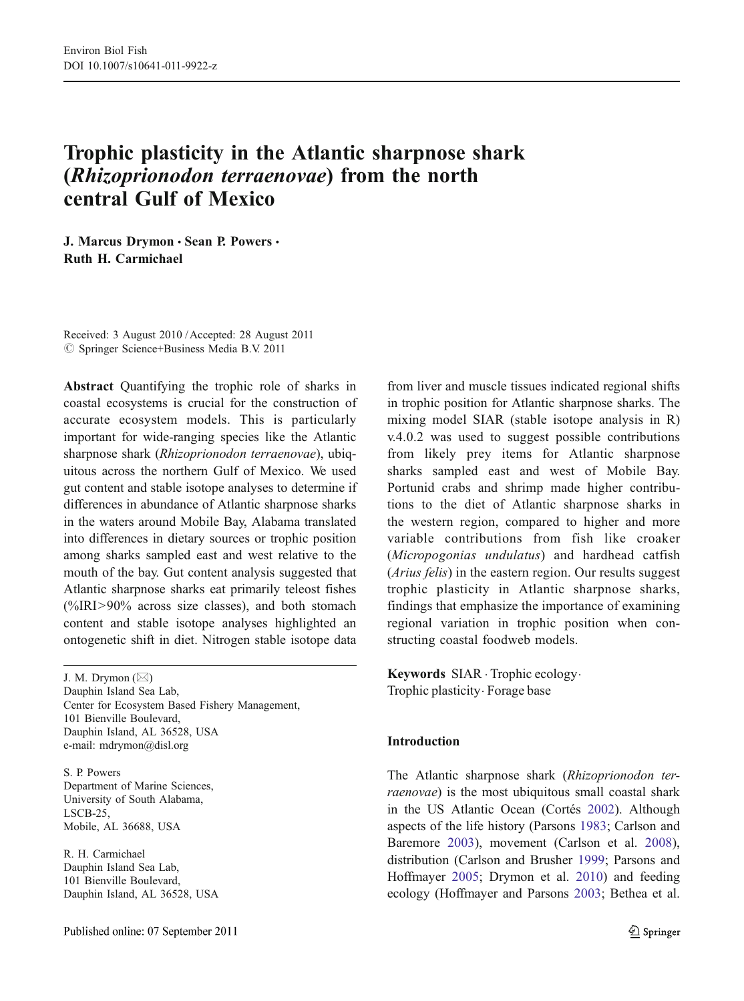# Trophic plasticity in the Atlantic sharpnose shark (Rhizoprionodon terraenovae) from the north central Gulf of Mexico

J. Marcus Drymon · Sean P. Powers · Ruth H. Carmichael

Received: 3 August 2010 /Accepted: 28 August 2011  $\circledcirc$  Springer Science+Business Media B.V. 2011

Abstract Quantifying the trophic role of sharks in coastal ecosystems is crucial for the construction of accurate ecosystem models. This is particularly important for wide-ranging species like the Atlantic sharpnose shark (Rhizoprionodon terraenovae), ubiquitous across the northern Gulf of Mexico. We used gut content and stable isotope analyses to determine if differences in abundance of Atlantic sharpnose sharks in the waters around Mobile Bay, Alabama translated into differences in dietary sources or trophic position among sharks sampled east and west relative to the mouth of the bay. Gut content analysis suggested that Atlantic sharpnose sharks eat primarily teleost fishes (%IRI>90% across size classes), and both stomach content and stable isotope analyses highlighted an ontogenetic shift in diet. Nitrogen stable isotope data

J. M. Drymon  $(\boxtimes)$ Dauphin Island Sea Lab, Center for Ecosystem Based Fishery Management, 101 Bienville Boulevard, Dauphin Island, AL 36528, USA e-mail: mdrymon@disl.org

S. P. Powers Department of Marine Sciences, University of South Alabama, LSCB-25, Mobile, AL 36688, USA

R. H. Carmichael Dauphin Island Sea Lab, 101 Bienville Boulevard, Dauphin Island, AL 36528, USA from liver and muscle tissues indicated regional shifts in trophic position for Atlantic sharpnose sharks. The mixing model SIAR (stable isotope analysis in R) v.4.0.2 was used to suggest possible contributions from likely prey items for Atlantic sharpnose sharks sampled east and west of Mobile Bay. Portunid crabs and shrimp made higher contributions to the diet of Atlantic sharpnose sharks in the western region, compared to higher and more variable contributions from fish like croaker (Micropogonias undulatus) and hardhead catfish (Arius felis) in the eastern region. Our results suggest trophic plasticity in Atlantic sharpnose sharks, findings that emphasize the importance of examining regional variation in trophic position when constructing coastal foodweb models.

Keywords SIAR . Trophic ecology. Trophic plasticity. Forage base

# Introduction

The Atlantic sharpnose shark (Rhizoprionodon terraenovae) is the most ubiquitous small coastal shark in the US Atlantic Ocean (Cortés [2002](#page-13-0)). Although aspects of the life history (Parsons [1983](#page-14-0); Carlson and Baremore [2003](#page-13-0)), movement (Carlson et al. [2008\)](#page-13-0), distribution (Carlson and Brusher [1999;](#page-13-0) Parsons and Hoffmayer [2005;](#page-14-0) Drymon et al. [2010\)](#page-13-0) and feeding ecology (Hoffmayer and Parsons [2003](#page-13-0); Bethea et al.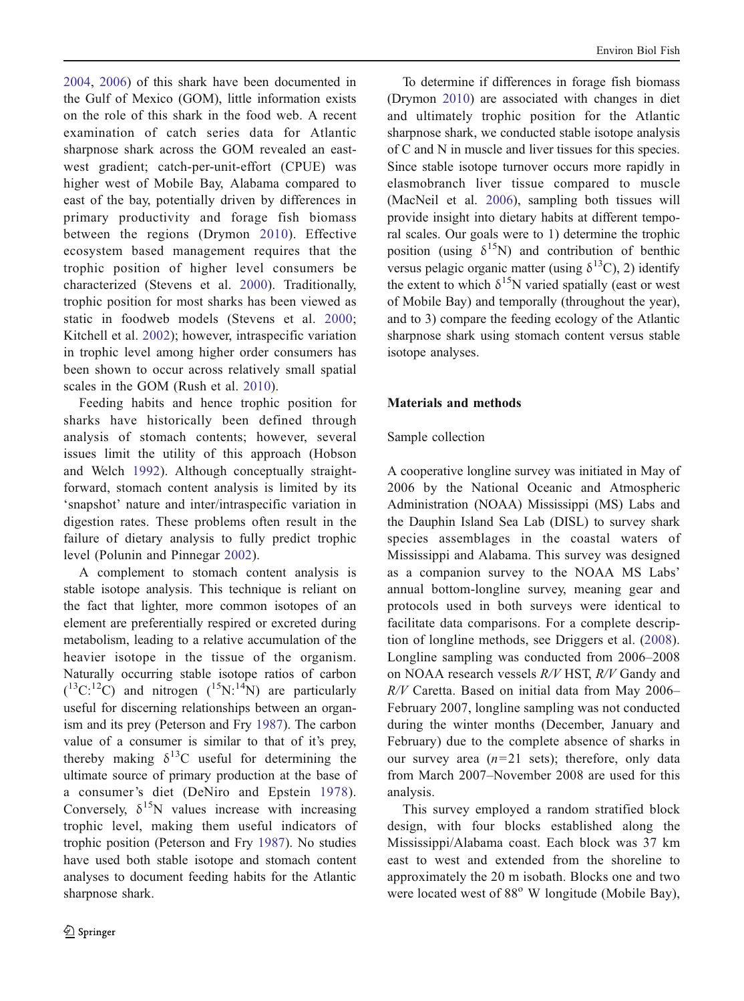[2004,](#page-13-0) [2006](#page-13-0)) of this shark have been documented in the Gulf of Mexico (GOM), little information exists on the role of this shark in the food web. A recent examination of catch series data for Atlantic sharpnose shark across the GOM revealed an eastwest gradient; catch-per-unit-effort (CPUE) was higher west of Mobile Bay, Alabama compared to east of the bay, potentially driven by differences in primary productivity and forage fish biomass between the regions (Drymon [2010](#page-13-0)). Effective ecosystem based management requires that the trophic position of higher level consumers be characterized (Stevens et al. [2000\)](#page-14-0). Traditionally, trophic position for most sharks has been viewed as static in foodweb models (Stevens et al. [2000](#page-14-0); Kitchell et al. [2002](#page-13-0)); however, intraspecific variation in trophic level among higher order consumers has been shown to occur across relatively small spatial scales in the GOM (Rush et al. [2010](#page-14-0)).

Feeding habits and hence trophic position for sharks have historically been defined through analysis of stomach contents; however, several issues limit the utility of this approach (Hobson and Welch [1992\)](#page-13-0). Although conceptually straightforward, stomach content analysis is limited by its 'snapshot' nature and inter/intraspecific variation in digestion rates. These problems often result in the failure of dietary analysis to fully predict trophic level (Polunin and Pinnegar [2002](#page-14-0)).

A complement to stomach content analysis is stable isotope analysis. This technique is reliant on the fact that lighter, more common isotopes of an element are preferentially respired or excreted during metabolism, leading to a relative accumulation of the heavier isotope in the tissue of the organism. Naturally occurring stable isotope ratios of carbon  $(^{13}C;^{12}C)$  and nitrogen  $(^{15}N;^{14}N)$  are particularly useful for discerning relationships between an organism and its prey (Peterson and Fry [1987](#page-14-0)). The carbon value of a consumer is similar to that of it's prey, thereby making  $\delta^{13}$ C useful for determining the ultimate source of primary production at the base of a consumer's diet (DeNiro and Epstein [1978](#page-13-0)). Conversely,  $\delta^{15}$ N values increase with increasing trophic level, making them useful indicators of trophic position (Peterson and Fry [1987\)](#page-14-0). No studies have used both stable isotope and stomach content analyses to document feeding habits for the Atlantic sharpnose shark.

To determine if differences in forage fish biomass (Drymon [2010\)](#page-13-0) are associated with changes in diet and ultimately trophic position for the Atlantic sharpnose shark, we conducted stable isotope analysis of C and N in muscle and liver tissues for this species. Since stable isotope turnover occurs more rapidly in elasmobranch liver tissue compared to muscle (MacNeil et al. [2006](#page-14-0)), sampling both tissues will provide insight into dietary habits at different temporal scales. Our goals were to 1) determine the trophic position (using  $\delta^{15}$ N) and contribution of benthic versus pelagic organic matter (using  $\delta^{13}$ C), 2) identify the extent to which  $\delta^{15}N$  varied spatially (east or west of Mobile Bay) and temporally (throughout the year), and to 3) compare the feeding ecology of the Atlantic sharpnose shark using stomach content versus stable isotope analyses.

# Materials and methods

## Sample collection

A cooperative longline survey was initiated in May of 2006 by the National Oceanic and Atmospheric Administration (NOAA) Mississippi (MS) Labs and the Dauphin Island Sea Lab (DISL) to survey shark species assemblages in the coastal waters of Mississippi and Alabama. This survey was designed as a companion survey to the NOAA MS Labs' annual bottom-longline survey, meaning gear and protocols used in both surveys were identical to facilitate data comparisons. For a complete description of longline methods, see Driggers et al. [\(2008](#page-13-0)). Longline sampling was conducted from 2006–2008 on NOAA research vessels R/V HST, R/V Gandy and R/V Caretta. Based on initial data from May 2006– February 2007, longline sampling was not conducted during the winter months (December, January and February) due to the complete absence of sharks in our survey area  $(n=21 \text{ sets})$ ; therefore, only data from March 2007–November 2008 are used for this analysis.

This survey employed a random stratified block design, with four blocks established along the Mississippi/Alabama coast. Each block was 37 km east to west and extended from the shoreline to approximately the 20 m isobath. Blocks one and two were located west of 88° W longitude (Mobile Bay),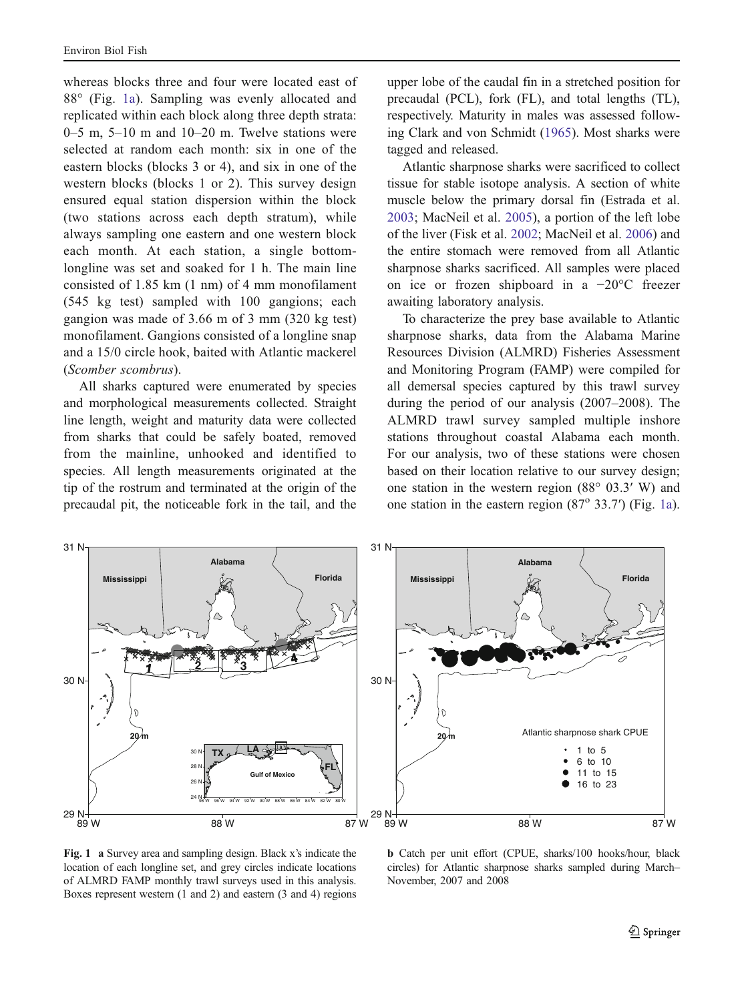<span id="page-2-0"></span>whereas blocks three and four were located east of 88° (Fig. 1a). Sampling was evenly allocated and replicated within each block along three depth strata:  $0-5$  m,  $5-10$  m and  $10-20$  m. Twelve stations were selected at random each month: six in one of the eastern blocks (blocks 3 or 4), and six in one of the western blocks (blocks 1 or 2). This survey design ensured equal station dispersion within the block (two stations across each depth stratum), while always sampling one eastern and one western block each month. At each station, a single bottomlongline was set and soaked for 1 h. The main line consisted of 1.85 km (1 nm) of 4 mm monofilament (545 kg test) sampled with 100 gangions; each gangion was made of 3.66 m of 3 mm (320 kg test) monofilament. Gangions consisted of a longline snap and a 15/0 circle hook, baited with Atlantic mackerel (Scomber scombrus).

All sharks captured were enumerated by species and morphological measurements collected. Straight line length, weight and maturity data were collected from sharks that could be safely boated, removed from the mainline, unhooked and identified to species. All length measurements originated at the tip of the rostrum and terminated at the origin of the precaudal pit, the noticeable fork in the tail, and the upper lobe of the caudal fin in a stretched position for precaudal (PCL), fork (FL), and total lengths (TL), respectively. Maturity in males was assessed following Clark and von Schmidt ([1965](#page-13-0)). Most sharks were tagged and released.

Atlantic sharpnose sharks were sacrificed to collect tissue for stable isotope analysis. A section of white muscle below the primary dorsal fin (Estrada et al. [2003;](#page-13-0) MacNeil et al. [2005\)](#page-14-0), a portion of the left lobe of the liver (Fisk et al. [2002;](#page-13-0) MacNeil et al. [2006](#page-14-0)) and the entire stomach were removed from all Atlantic sharpnose sharks sacrificed. All samples were placed on ice or frozen shipboard in a −20°C freezer awaiting laboratory analysis.

To characterize the prey base available to Atlantic sharpnose sharks, data from the Alabama Marine Resources Division (ALMRD) Fisheries Assessment and Monitoring Program (FAMP) were compiled for all demersal species captured by this trawl survey during the period of our analysis (2007–2008). The ALMRD trawl survey sampled multiple inshore stations throughout coastal Alabama each month. For our analysis, two of these stations were chosen based on their location relative to our survey design; one station in the western region (88° 03.3′ W) and one station in the eastern region  $(87^\circ 33.7^\prime)$  (Fig. 1a).



Fig. 1 a Survey area and sampling design. Black x's indicate the location of each longline set, and grey circles indicate locations of ALMRD FAMP monthly trawl surveys used in this analysis. Boxes represent western (1 and 2) and eastern (3 and 4) regions

b Catch per unit effort (CPUE, sharks/100 hooks/hour, black circles) for Atlantic sharpnose sharks sampled during March– November, 2007 and 2008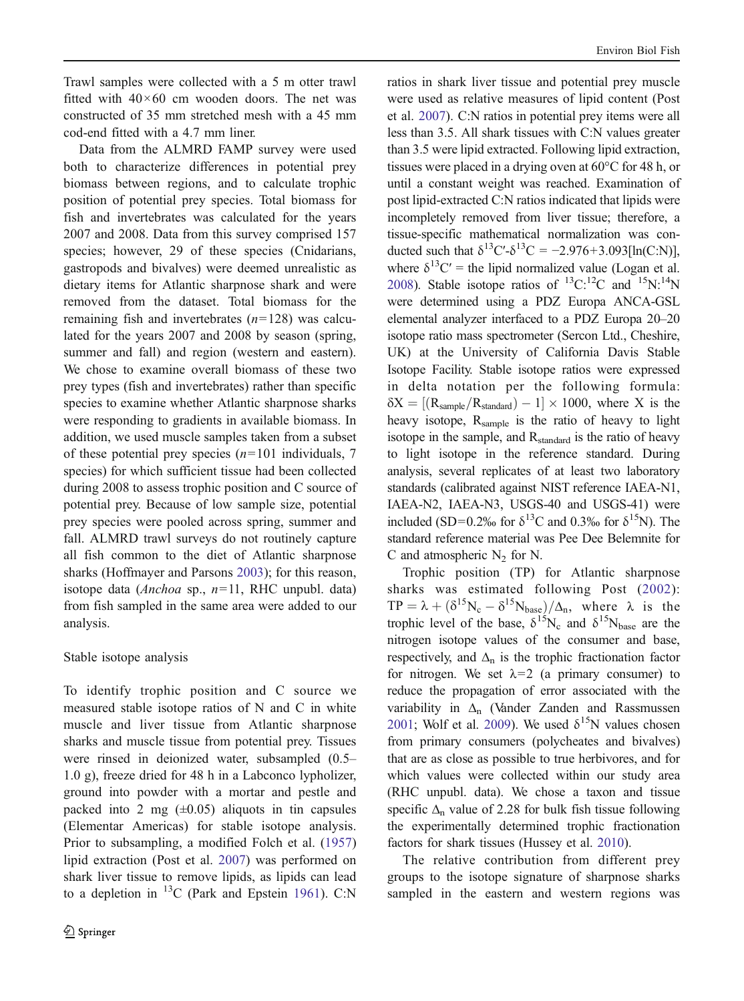Trawl samples were collected with a 5 m otter trawl fitted with  $40\times60$  cm wooden doors. The net was constructed of 35 mm stretched mesh with a 45 mm cod-end fitted with a 4.7 mm liner.

Data from the ALMRD FAMP survey were used both to characterize differences in potential prey biomass between regions, and to calculate trophic position of potential prey species. Total biomass for fish and invertebrates was calculated for the years 2007 and 2008. Data from this survey comprised 157 species; however, 29 of these species (Cnidarians, gastropods and bivalves) were deemed unrealistic as dietary items for Atlantic sharpnose shark and were removed from the dataset. Total biomass for the remaining fish and invertebrates  $(n=128)$  was calculated for the years 2007 and 2008 by season (spring, summer and fall) and region (western and eastern). We chose to examine overall biomass of these two prey types (fish and invertebrates) rather than specific species to examine whether Atlantic sharpnose sharks were responding to gradients in available biomass. In addition, we used muscle samples taken from a subset of these potential prey species  $(n=101 \text{ individuals}, 7)$ species) for which sufficient tissue had been collected during 2008 to assess trophic position and C source of potential prey. Because of low sample size, potential prey species were pooled across spring, summer and fall. ALMRD trawl surveys do not routinely capture all fish common to the diet of Atlantic sharpnose sharks (Hoffmayer and Parsons [2003](#page-13-0)); for this reason, isotope data (*Anchoa* sp.,  $n=11$ , RHC unpubl. data) from fish sampled in the same area were added to our analysis.

# Stable isotope analysis

To identify trophic position and C source we measured stable isotope ratios of N and C in white muscle and liver tissue from Atlantic sharpnose sharks and muscle tissue from potential prey. Tissues were rinsed in deionized water, subsampled (0.5– 1.0 g), freeze dried for 48 h in a Labconco lypholizer, ground into powder with a mortar and pestle and packed into 2 mg  $(\pm 0.05)$  aliquots in tin capsules (Elementar Americas) for stable isotope analysis. Prior to subsampling, a modified Folch et al. ([1957\)](#page-13-0) lipid extraction (Post et al. [2007\)](#page-14-0) was performed on shark liver tissue to remove lipids, as lipids can lead to a depletion in  ${}^{13}$ C (Park and Epstein [1961\)](#page-14-0). C:N ratios in shark liver tissue and potential prey muscle were used as relative measures of lipid content (Post et al. [2007\)](#page-14-0). C:N ratios in potential prey items were all less than 3.5. All shark tissues with C:N values greater than 3.5 were lipid extracted. Following lipid extraction, tissues were placed in a drying oven at 60°C for 48 h, or until a constant weight was reached. Examination of post lipid-extracted C:N ratios indicated that lipids were incompletely removed from liver tissue; therefore, a tissue-specific mathematical normalization was conducted such that  $\delta^{13}C' - \delta^{13}C = -2.976 + 3.093[\ln(C:N)],$ where  $\delta^{13}$ C' = the lipid normalized value (Logan et al. [2008](#page-14-0)). Stable isotope ratios of  ${}^{13}C_{1}{}^{12}C$  and  ${}^{15}N_{1}{}^{14}N$ were determined using a PDZ Europa ANCA-GSL elemental analyzer interfaced to a PDZ Europa 20–20 isotope ratio mass spectrometer (Sercon Ltd., Cheshire, UK) at the University of California Davis Stable Isotope Facility. Stable isotope ratios were expressed in delta notation per the following formula:  $\delta X = [(R_{sample}/R_{standard}) - 1] \times 1000$ , where X is the heavy isotope, R<sub>sample</sub> is the ratio of heavy to light isotope in the sample, and R<sub>standard</sub> is the ratio of heavy to light isotope in the reference standard. During analysis, several replicates of at least two laboratory standards (calibrated against NIST reference IAEA-N1, IAEA-N2, IAEA-N3, USGS-40 and USGS-41) were included (SD=0.2‰ for  $\delta^{13}$ C and 0.3‰ for  $\delta^{15}$ N). The standard reference material was Pee Dee Belemnite for C and atmospheric  $N_2$  for N.

Trophic position (TP) for Atlantic sharpnose sharks was estimated following Post ([2002](#page-14-0)):  $TP = \lambda + (\delta^{15}N_c - \delta^{15}N_{base})/\Delta_n$ , where  $\lambda$  is the trophic level of the base,  $\delta^{15}N_c$  and  $\delta^{15}N_{base}$  are the nitrogen isotope values of the consumer and base, respectively, and  $\Delta_n$  is the trophic fractionation factor for nitrogen. We set  $\lambda=2$  (a primary consumer) to reduce the propagation of error associated with the variability in  $\Delta_n$  (Vander Zanden and Rassmussen [2001](#page-14-0); Wolf et al. [2009\)](#page-14-0). We used  $\delta^{15}$ N values chosen from primary consumers (polycheates and bivalves) that are as close as possible to true herbivores, and for which values were collected within our study area (RHC unpubl. data). We chose a taxon and tissue specific  $\Delta_n$  value of 2.28 for bulk fish tissue following the experimentally determined trophic fractionation factors for shark tissues (Hussey et al. [2010](#page-13-0)).

The relative contribution from different prey groups to the isotope signature of sharpnose sharks sampled in the eastern and western regions was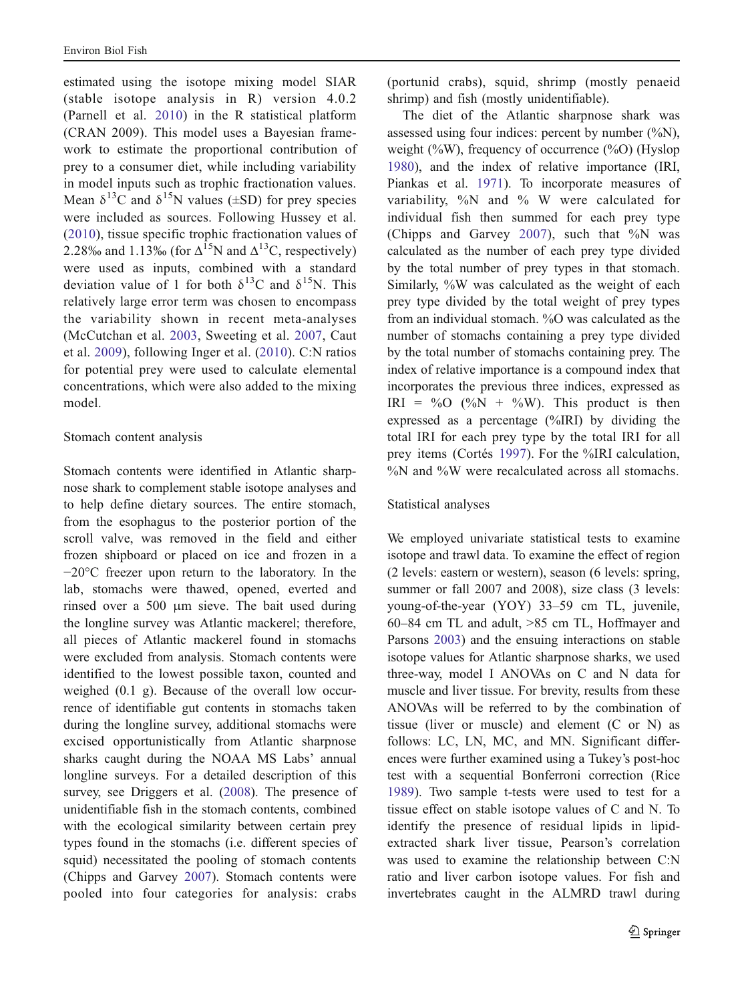estimated using the isotope mixing model SIAR (stable isotope analysis in R) version 4.0.2 (Parnell et al. [2010\)](#page-14-0) in the R statistical platform (CRAN 2009). This model uses a Bayesian framework to estimate the proportional contribution of prey to a consumer diet, while including variability in model inputs such as trophic fractionation values. Mean  $\delta^{13}$ C and  $\delta^{15}$ N values ( $\pm$ SD) for prey species were included as sources. Following Hussey et al. ([2010\)](#page-13-0), tissue specific trophic fractionation values of 2.28‰ and 1.13‰ (for  $\Delta^{15}N$  and  $\Delta^{13}C$ , respectively) were used as inputs, combined with a standard deviation value of 1 for both  $\delta^{13}$ C and  $\delta^{15}$ N. This relatively large error term was chosen to encompass the variability shown in recent meta-analyses (McCutchan et al. [2003](#page-14-0), Sweeting et al. [2007](#page-14-0), Caut et al. [2009\)](#page-13-0), following Inger et al. ([2010](#page-13-0)). C:N ratios for potential prey were used to calculate elemental concentrations, which were also added to the mixing model.

#### Stomach content analysis

Stomach contents were identified in Atlantic sharpnose shark to complement stable isotope analyses and to help define dietary sources. The entire stomach, from the esophagus to the posterior portion of the scroll valve, was removed in the field and either frozen shipboard or placed on ice and frozen in a −20°C freezer upon return to the laboratory. In the lab, stomachs were thawed, opened, everted and rinsed over a 500 μm sieve. The bait used during the longline survey was Atlantic mackerel; therefore, all pieces of Atlantic mackerel found in stomachs were excluded from analysis. Stomach contents were identified to the lowest possible taxon, counted and weighed (0.1 g). Because of the overall low occurrence of identifiable gut contents in stomachs taken during the longline survey, additional stomachs were excised opportunistically from Atlantic sharpnose sharks caught during the NOAA MS Labs' annual longline surveys. For a detailed description of this survey, see Driggers et al. ([2008](#page-13-0)). The presence of unidentifiable fish in the stomach contents, combined with the ecological similarity between certain prey types found in the stomachs (i.e. different species of squid) necessitated the pooling of stomach contents (Chipps and Garvey [2007\)](#page-13-0). Stomach contents were pooled into four categories for analysis: crabs

(portunid crabs), squid, shrimp (mostly penaeid shrimp) and fish (mostly unidentifiable).

The diet of the Atlantic sharpnose shark was assessed using four indices: percent by number  $(\%N)$ , weight (%W), frequency of occurrence (%O) (Hyslop [1980\)](#page-13-0), and the index of relative importance (IRI, Piankas et al. [1971\)](#page-14-0). To incorporate measures of variability, %N and % W were calculated for individual fish then summed for each prey type (Chipps and Garvey [2007\)](#page-13-0), such that  $\%$ N was calculated as the number of each prey type divided by the total number of prey types in that stomach. Similarly, %W was calculated as the weight of each prey type divided by the total weight of prey types from an individual stomach. %O was calculated as the number of stomachs containing a prey type divided by the total number of stomachs containing prey. The index of relative importance is a compound index that incorporates the previous three indices, expressed as IRI = %O (%N + %W). This product is then expressed as a percentage (%IRI) by dividing the total IRI for each prey type by the total IRI for all prey items (Cortés [1997](#page-13-0)). For the %IRI calculation, %N and %W were recalculated across all stomachs.

## Statistical analyses

We employed univariate statistical tests to examine isotope and trawl data. To examine the effect of region (2 levels: eastern or western), season (6 levels: spring, summer or fall 2007 and 2008), size class (3 levels: young-of-the-year (YOY) 33–59 cm TL, juvenile, 60–84 cm TL and adult, >85 cm TL, Hoffmayer and Parsons [2003](#page-13-0)) and the ensuing interactions on stable isotope values for Atlantic sharpnose sharks, we used three-way, model I ANOVAs on C and N data for muscle and liver tissue. For brevity, results from these ANOVAs will be referred to by the combination of tissue (liver or muscle) and element (C or N) as follows: LC, LN, MC, and MN. Significant differences were further examined using a Tukey's post-hoc test with a sequential Bonferroni correction (Rice [1989\)](#page-14-0). Two sample t-tests were used to test for a tissue effect on stable isotope values of C and N. To identify the presence of residual lipids in lipidextracted shark liver tissue, Pearson's correlation was used to examine the relationship between C:N ratio and liver carbon isotope values. For fish and invertebrates caught in the ALMRD trawl during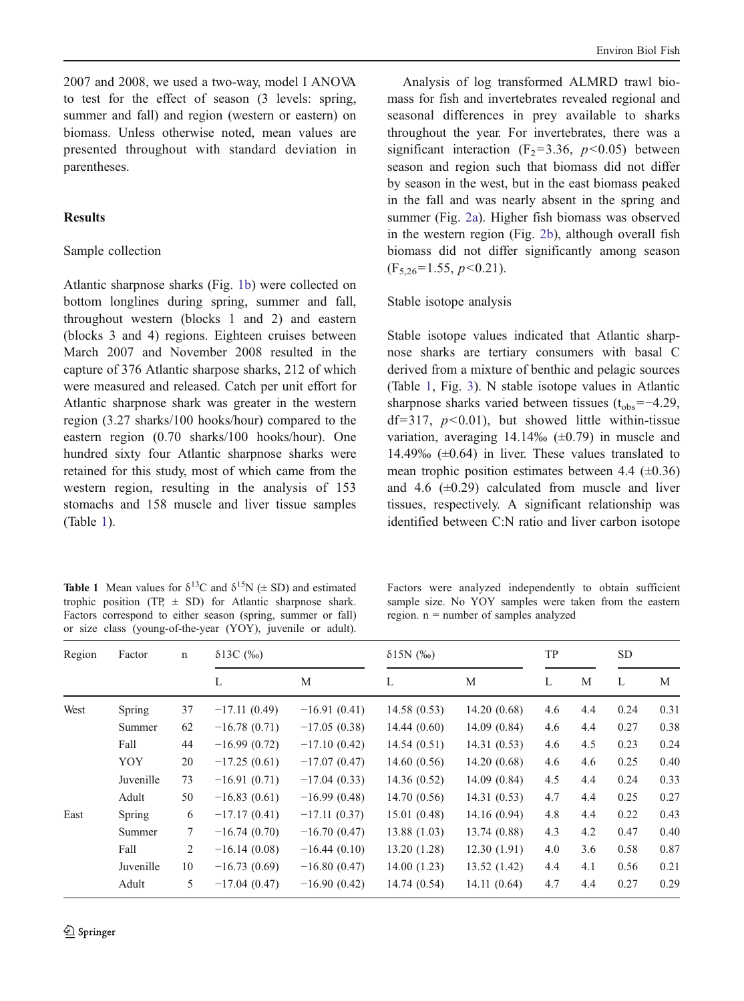<span id="page-5-0"></span>2007 and 2008, we used a two-way, model I ANOVA to test for the effect of season (3 levels: spring, summer and fall) and region (western or eastern) on biomass. Unless otherwise noted, mean values are presented throughout with standard deviation in parentheses.

## Results

### Sample collection

Atlantic sharpnose sharks (Fig. [1b\)](#page-2-0) were collected on bottom longlines during spring, summer and fall, throughout western (blocks 1 and 2) and eastern (blocks 3 and 4) regions. Eighteen cruises between March 2007 and November 2008 resulted in the capture of 376 Atlantic sharpose sharks, 212 of which were measured and released. Catch per unit effort for Atlantic sharpnose shark was greater in the western region (3.27 sharks/100 hooks/hour) compared to the eastern region (0.70 sharks/100 hooks/hour). One hundred sixty four Atlantic sharpnose sharks were retained for this study, most of which came from the western region, resulting in the analysis of 153 stomachs and 158 muscle and liver tissue samples (Table 1).

**Table 1** Mean values for  $\delta^{13}$ C and  $\delta^{15}$ N ( $\pm$  SD) and estimated trophic position (TP,  $\pm$  SD) for Atlantic sharpnose shark. Factors correspond to either season (spring, summer or fall) or size class (young-of-the-year (YOY), juvenile or adult).

Analysis of log transformed ALMRD trawl biomass for fish and invertebrates revealed regional and seasonal differences in prey available to sharks throughout the year. For invertebrates, there was a significant interaction (F<sub>2</sub>=3.36,  $p$ <0.05) between season and region such that biomass did not differ by season in the west, but in the east biomass peaked in the fall and was nearly absent in the spring and summer (Fig. [2a\)](#page-6-0). Higher fish biomass was observed in the western region (Fig. [2b](#page-6-0)), although overall fish biomass did not differ significantly among season  $(F_{5,26}=1.55, p<0.21).$ 

#### Stable isotope analysis

Stable isotope values indicated that Atlantic sharpnose sharks are tertiary consumers with basal C derived from a mixture of benthic and pelagic sources (Table 1, Fig. [3\)](#page-7-0). N stable isotope values in Atlantic sharpnose sharks varied between tissues  $(t_{obs}=-4.29,$  $df=317$ ,  $p<0.01$ ), but showed little within-tissue variation, averaging 14.14‰ (±0.79) in muscle and 14.49‰  $(\pm 0.64)$  in liver. These values translated to mean trophic position estimates between 4.4  $(\pm 0.36)$ and 4.6  $(\pm 0.29)$  calculated from muscle and liver tissues, respectively. A significant relationship was identified between C:N ratio and liver carbon isotope

Factors were analyzed independently to obtain sufficient sample size. No YOY samples were taken from the eastern region. n = number of samples analyzed

| Region | Factor    | $\mathbf n$    | $\delta$ 13C (‰) |                | $\delta$ 15N (‰) | TP           |     | <b>SD</b> |      |      |
|--------|-----------|----------------|------------------|----------------|------------------|--------------|-----|-----------|------|------|
|        |           |                | L                | M              | L                | M            | L   | M         | L    | M    |
| West   | Spring    | 37             | $-17.11(0.49)$   | $-16.91(0.41)$ | 14.58(0.53)      | 14.20(0.68)  | 4.6 | 4.4       | 0.24 | 0.31 |
|        | Summer    | 62             | $-16.78(0.71)$   | $-17.05(0.38)$ | 14.44(0.60)      | 14.09(0.84)  | 4.6 | 4.4       | 0.27 | 0.38 |
|        | Fall      | 44             | $-16.99(0.72)$   | $-17.10(0.42)$ | 14.54(0.51)      | 14.31(0.53)  | 4.6 | 4.5       | 0.23 | 0.24 |
|        | YOY       | 20             | $-17.25(0.61)$   | $-17.07(0.47)$ | 14.60(0.56)      | 14.20(0.68)  | 4.6 | 4.6       | 0.25 | 0.40 |
|        | Juvenille | 73             | $-16.91(0.71)$   | $-17.04(0.33)$ | 14.36(0.52)      | 14.09(0.84)  | 4.5 | 4.4       | 0.24 | 0.33 |
|        | Adult     | 50             | $-16.83(0.61)$   | $-16.99(0.48)$ | 14.70(0.56)      | 14.31(0.53)  | 4.7 | 4.4       | 0.25 | 0.27 |
| East   | Spring    | 6              | $-17.17(0.41)$   | $-17.11(0.37)$ | 15.01(0.48)      | 14.16(0.94)  | 4.8 | 4.4       | 0.22 | 0.43 |
|        | Summer    | $\tau$         | $-16.74(0.70)$   | $-16.70(0.47)$ | 13.88(1.03)      | 13.74 (0.88) | 4.3 | 4.2       | 0.47 | 0.40 |
|        | Fall      | $\overline{2}$ | $-16.14(0.08)$   | $-16.44(0.10)$ | 13.20 (1.28)     | 12.30(1.91)  | 4.0 | 3.6       | 0.58 | 0.87 |
|        | Juvenille | 10             | $-16.73(0.69)$   | $-16.80(0.47)$ | 14.00(1.23)      | 13.52(1.42)  | 4.4 | 4.1       | 0.56 | 0.21 |
|        | Adult     | 5              | $-17.04(0.47)$   | $-16.90(0.42)$ | 14.74(0.54)      | 14.11(0.64)  | 4.7 | 4.4       | 0.27 | 0.29 |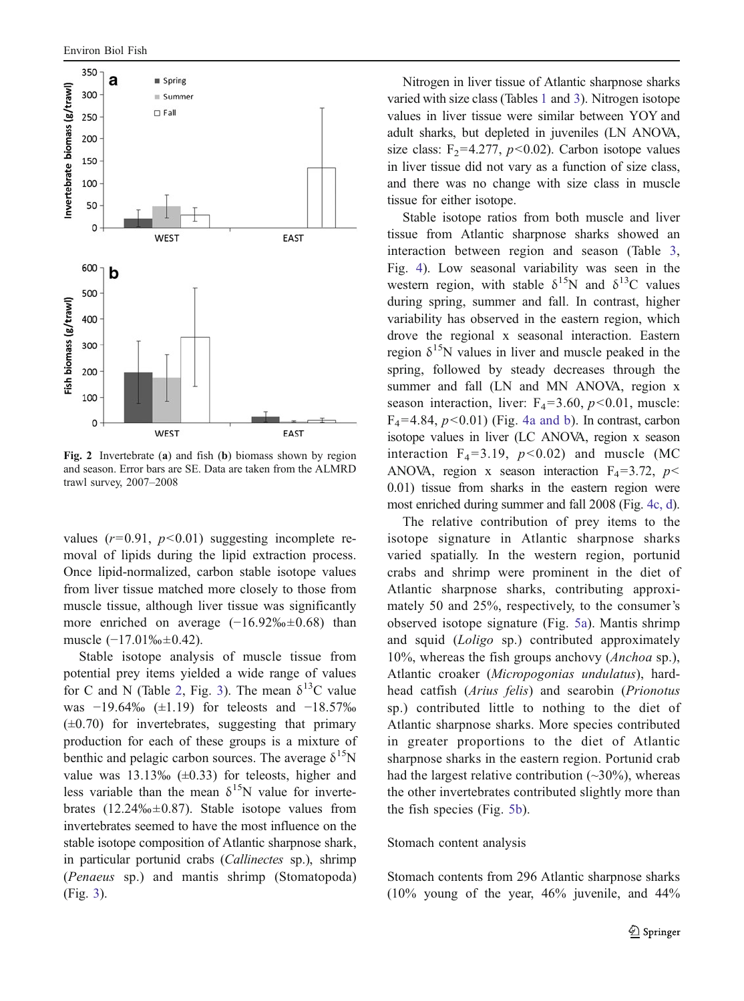<span id="page-6-0"></span>

Fig. 2 Invertebrate (a) and fish (b) biomass shown by region and season. Error bars are SE. Data are taken from the ALMRD trawl survey, 2007–2008

values  $(r=0.91, p<0.01)$  suggesting incomplete removal of lipids during the lipid extraction process. Once lipid-normalized, carbon stable isotope values from liver tissue matched more closely to those from muscle tissue, although liver tissue was significantly more enriched on average (−16.92‰±0.68) than muscle (−17.01‰±0.42).

Stable isotope analysis of muscle tissue from potential prey items yielded a wide range of values for C and N (Table [2](#page-8-0), Fig. [3\)](#page-7-0). The mean  $\delta^{13}$ C value was −19.64‰ (±1.19) for teleosts and −18.57‰  $(\pm 0.70)$  for invertebrates, suggesting that primary production for each of these groups is a mixture of benthic and pelagic carbon sources. The average  $\delta^{15}N$ value was  $13.13\%$  ( $\pm 0.33$ ) for teleosts, higher and less variable than the mean  $\delta^{15}N$  value for invertebrates (12.24‰ $\pm$ 0.87). Stable isotope values from invertebrates seemed to have the most influence on the stable isotope composition of Atlantic sharpnose shark, in particular portunid crabs (Callinectes sp.), shrimp (Penaeus sp.) and mantis shrimp (Stomatopoda) (Fig. [3](#page-7-0)).

Nitrogen in liver tissue of Atlantic sharpnose sharks varied with size class (Tables [1](#page-5-0) and [3](#page-8-0)). Nitrogen isotope values in liver tissue were similar between YOY and adult sharks, but depleted in juveniles (LN ANOVA, size class:  $F_2 = 4.277$ ,  $p < 0.02$ ). Carbon isotope values in liver tissue did not vary as a function of size class, and there was no change with size class in muscle tissue for either isotope.

Stable isotope ratios from both muscle and liver tissue from Atlantic sharpnose sharks showed an interaction between region and season (Table [3,](#page-8-0) Fig. [4](#page-9-0)). Low seasonal variability was seen in the western region, with stable  $\delta^{15}N$  and  $\delta^{13}C$  values during spring, summer and fall. In contrast, higher variability has observed in the eastern region, which drove the regional x seasonal interaction. Eastern region  $\delta^{15}$ N values in liver and muscle peaked in the spring, followed by steady decreases through the summer and fall (LN and MN ANOVA, region x season interaction, liver:  $F_4 = 3.60$ ,  $p < 0.01$ , muscle:  $F_4$ =4.84,  $p$ <0.01) (Fig. [4a and b](#page-9-0)). In contrast, carbon isotope values in liver (LC ANOVA, region x season interaction  $F_4 = 3.19$ ,  $p < 0.02$ ) and muscle (MC ANOVA, region x season interaction  $F_4 = 3.72$ ,  $p <$ 0.01) tissue from sharks in the eastern region were most enriched during summer and fall 2008 (Fig. [4c, d\)](#page-9-0).

The relative contribution of prey items to the isotope signature in Atlantic sharpnose sharks varied spatially. In the western region, portunid crabs and shrimp were prominent in the diet of Atlantic sharpnose sharks, contributing approximately 50 and 25%, respectively, to the consumer's observed isotope signature (Fig. [5a](#page-10-0)). Mantis shrimp and squid (Loligo sp.) contributed approximately  $10\%$ , whereas the fish groups anchovy (*Anchoa* sp.), Atlantic croaker (Micropogonias undulatus), hardhead catfish (Arius felis) and searobin (Prionotus sp.) contributed little to nothing to the diet of Atlantic sharpnose sharks. More species contributed in greater proportions to the diet of Atlantic sharpnose sharks in the eastern region. Portunid crab had the largest relative contribution  $(\sim 30\%)$ , whereas the other invertebrates contributed slightly more than the fish species (Fig. [5b](#page-10-0)).

#### Stomach content analysis

Stomach contents from 296 Atlantic sharpnose sharks (10% young of the year, 46% juvenile, and 44%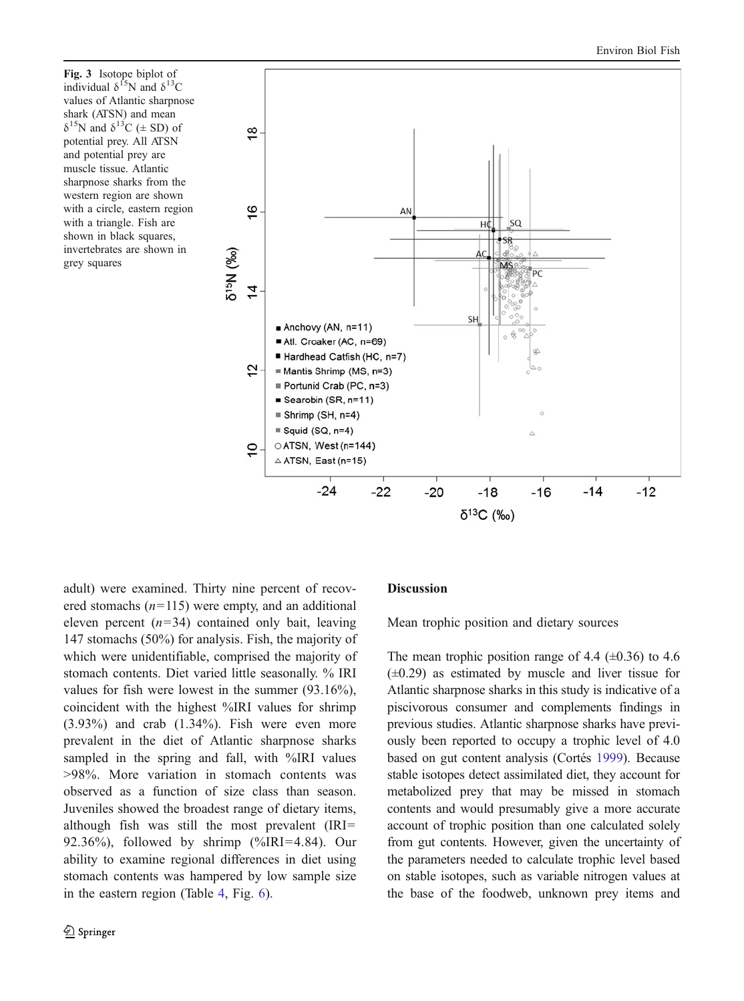<span id="page-7-0"></span>Fig. 3 Isotope biplot of individual  $\delta^{15}$ N and  $\delta^{13}$ C values of Atlantic sharpnose shark (ATSN) and mean δ<sup>15</sup>N and δ<sup>13</sup>C ( $\pm$  SD) of potential prey. All ATSN and potential prey are muscle tissue. Atlantic sharpnose sharks from the western region are shown with a circle, eastern region with a triangle. Fish are shown in black squares, invertebrates are shown in grey squares



adult) were examined. Thirty nine percent of recovered stomachs  $(n=115)$  were empty, and an additional eleven percent  $(n=34)$  contained only bait, leaving 147 stomachs (50%) for analysis. Fish, the majority of which were unidentifiable, comprised the majority of stomach contents. Diet varied little seasonally. % IRI values for fish were lowest in the summer (93.16%), coincident with the highest %IRI values for shrimp  $(3.93\%)$  and crab  $(1.34\%)$ . Fish were even more prevalent in the diet of Atlantic sharpnose sharks sampled in the spring and fall, with %IRI values >98%. More variation in stomach contents was observed as a function of size class than season. Juveniles showed the broadest range of dietary items, although fish was still the most prevalent (IRI= 92.36%), followed by shrimp (%IRI=4.84). Our ability to examine regional differences in diet using stomach contents was hampered by low sample size in the eastern region (Table [4](#page-11-0), Fig. [6](#page-12-0)).

# **Discussion**

Mean trophic position and dietary sources

The mean trophic position range of 4.4 ( $\pm$ 0.36) to 4.6  $(\pm 0.29)$  as estimated by muscle and liver tissue for Atlantic sharpnose sharks in this study is indicative of a piscivorous consumer and complements findings in previous studies. Atlantic sharpnose sharks have previously been reported to occupy a trophic level of 4.0 based on gut content analysis (Cortés [1999](#page-13-0)). Because stable isotopes detect assimilated diet, they account for metabolized prey that may be missed in stomach contents and would presumably give a more accurate account of trophic position than one calculated solely from gut contents. However, given the uncertainty of the parameters needed to calculate trophic level based on stable isotopes, such as variable nitrogen values at the base of the foodweb, unknown prey items and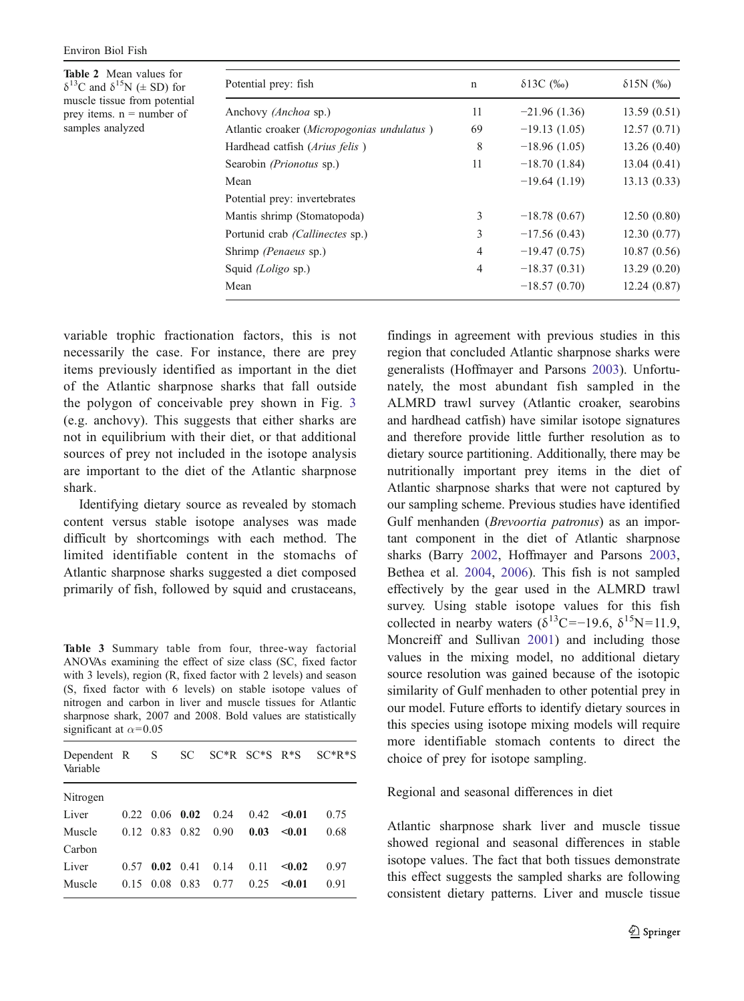<span id="page-8-0"></span>

| <b>Table 2</b> Mean values for<br>$\delta^{13}$ C and $\delta^{15}$ N (± SD) for | Potential prey: fish                       | $\mathbf n$ | $\delta$ 13C (‰) | $\delta$ 15N (‰) |
|----------------------------------------------------------------------------------|--------------------------------------------|-------------|------------------|------------------|
| muscle tissue from potential<br>prey items. $n =$ number of                      | Anchovy (Anchoa sp.)                       | 11          | $-21.96(1.36)$   | 13.59(0.51)      |
| samples analyzed                                                                 | Atlantic croaker (Micropogonias undulatus) | 69          | $-19.13(1.05)$   | 12.57(0.71)      |
|                                                                                  | Hardhead catfish (Arius felis)             | 8           | $-18.96(1.05)$   | 13.26(0.40)      |
|                                                                                  | Searobin (Prionotus sp.)                   | 11          | $-18.70(1.84)$   | 13.04(0.41)      |
|                                                                                  | Mean                                       |             | $-19.64(1.19)$   | 13.13(0.33)      |
|                                                                                  | Potential prey: invertebrates              |             |                  |                  |
|                                                                                  | Mantis shrimp (Stomatopoda)                | 3           | $-18.78(0.67)$   | 12.50(0.80)      |
|                                                                                  | Portunid crab (Callinectes sp.)            | 3           | $-17.56(0.43)$   | 12.30(0.77)      |
|                                                                                  | Shrimp (Penaeus sp.)                       | 4           | $-19.47(0.75)$   | 10.87(0.56)      |
|                                                                                  | Squid (Loligo sp.)                         | 4           | $-18.37(0.31)$   | 13.29(0.20)      |
|                                                                                  | Mean                                       |             | $-18.57(0.70)$   | 12.24(0.87)      |
|                                                                                  |                                            |             |                  |                  |

variable trophic fractionation factors, this is not necessarily the case. For instance, there are prey items previously identified as important in the diet of the Atlantic sharpnose sharks that fall outside the polygon of conceivable prey shown in Fig. [3](#page-7-0) (e.g. anchovy). This suggests that either sharks are not in equilibrium with their diet, or that additional sources of prey not included in the isotope analysis are important to the diet of the Atlantic sharpnose shark.

Identifying dietary source as revealed by stomach content versus stable isotope analyses was made difficult by shortcomings with each method. The limited identifiable content in the stomachs of Atlantic sharpnose sharks suggested a diet composed primarily of fish, followed by squid and crustaceans,

Table 3 Summary table from four, three-way factorial ANOVAs examining the effect of size class (SC, fixed factor with 3 levels), region (R, fixed factor with 2 levels) and season (S, fixed factor with 6 levels) on stable isotope values of nitrogen and carbon in liver and muscle tissues for Atlantic sharpnose shark, 2007 and 2008. Bold values are statistically significant at  $\alpha$ =0.05

| Dependent R<br>Variable |      | S                            | SC. | $SC^*R$ $SC^*S$ $R^*S$ |      |               | $SC^*R^*S$ |
|-------------------------|------|------------------------------|-----|------------------------|------|---------------|------------|
| Nitrogen                |      |                              |     |                        |      |               |            |
| Liver                   |      | $0.22 \quad 0.06 \quad 0.02$ |     | 0.24                   | 0.42 | $<$ 0.01 $\,$ | 0.75       |
| Muscle                  |      | 0.12 0.83 0.82               |     | 0.90                   | 0.03 | < 0.01        | 0.68       |
| Carbon                  |      |                              |     |                        |      |               |            |
| Liver                   | 0.57 | $0.02 \quad 0.41$            |     | 0.14                   | 0.11 | < 0.02        | 0.97       |
| Muscle                  |      | $0.15$ $0.08$ $0.83$         |     | 0.77                   | 0.25 | < 0.01        | 0.91       |

findings in agreement with previous studies in this region that concluded Atlantic sharpnose sharks were generalists (Hoffmayer and Parsons [2003\)](#page-13-0). Unfortunately, the most abundant fish sampled in the ALMRD trawl survey (Atlantic croaker, searobins and hardhead catfish) have similar isotope signatures and therefore provide little further resolution as to dietary source partitioning. Additionally, there may be nutritionally important prey items in the diet of Atlantic sharpnose sharks that were not captured by our sampling scheme. Previous studies have identified Gulf menhanden (Brevoortia patronus) as an important component in the diet of Atlantic sharpnose sharks (Barry [2002](#page-13-0), Hoffmayer and Parsons [2003,](#page-13-0) Bethea et al. [2004,](#page-13-0) [2006\)](#page-13-0). This fish is not sampled effectively by the gear used in the ALMRD trawl survey. Using stable isotope values for this fish collected in nearby waters  $(\delta^{13}C=-19.6, \delta^{15}N=11.9,$ Moncreiff and Sullivan [2001](#page-14-0)) and including those values in the mixing model, no additional dietary source resolution was gained because of the isotopic similarity of Gulf menhaden to other potential prey in our model. Future efforts to identify dietary sources in this species using isotope mixing models will require more identifiable stomach contents to direct the choice of prey for isotope sampling.

Regional and seasonal differences in diet

Atlantic sharpnose shark liver and muscle tissue showed regional and seasonal differences in stable isotope values. The fact that both tissues demonstrate this effect suggests the sampled sharks are following consistent dietary patterns. Liver and muscle tissue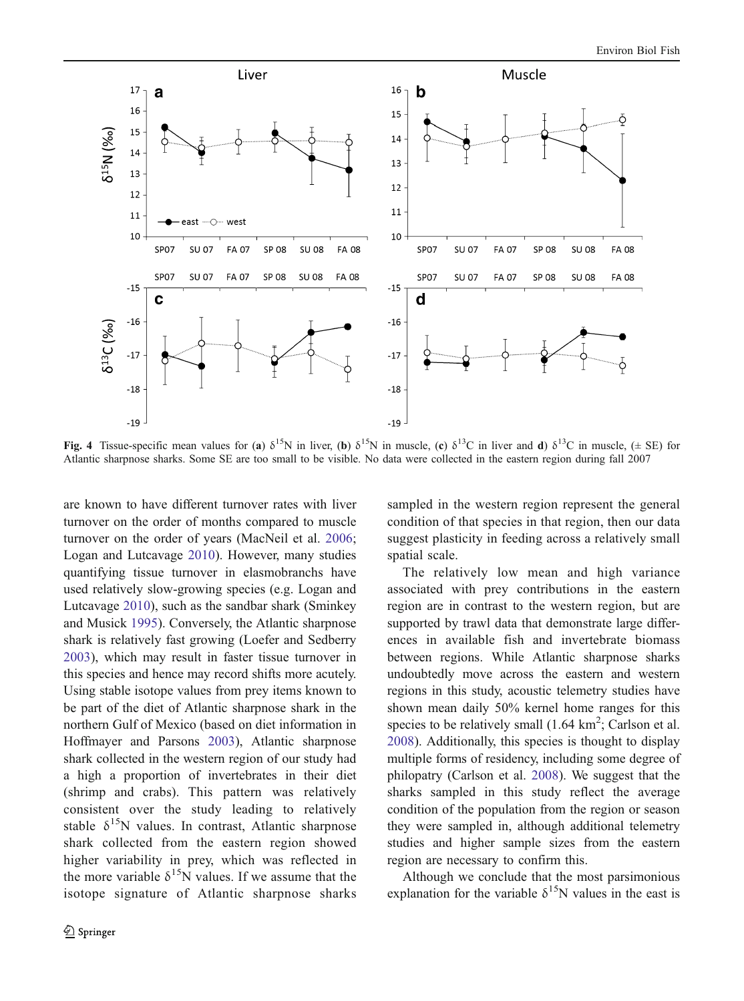<span id="page-9-0"></span>

**Fig. 4** Tissue-specific mean values for (a)  $\delta^{15}N$  in liver, (b)  $\delta^{15}N$  in muscle, (c)  $\delta^{13}C$  in liver and d)  $\delta^{13}C$  in muscle, ( $\pm$  SE) for Atlantic sharpnose sharks. Some SE are too small to be visible. No data were collected in the eastern region during fall 2007

are known to have different turnover rates with liver turnover on the order of months compared to muscle turnover on the order of years (MacNeil et al. [2006](#page-14-0); Logan and Lutcavage [2010](#page-14-0)). However, many studies quantifying tissue turnover in elasmobranchs have used relatively slow-growing species (e.g. Logan and Lutcavage [2010\)](#page-14-0), such as the sandbar shark (Sminkey and Musick [1995](#page-14-0)). Conversely, the Atlantic sharpnose shark is relatively fast growing (Loefer and Sedberry [2003\)](#page-13-0), which may result in faster tissue turnover in this species and hence may record shifts more acutely. Using stable isotope values from prey items known to be part of the diet of Atlantic sharpnose shark in the northern Gulf of Mexico (based on diet information in Hoffmayer and Parsons [2003](#page-13-0)), Atlantic sharpnose shark collected in the western region of our study had a high a proportion of invertebrates in their diet (shrimp and crabs). This pattern was relatively consistent over the study leading to relatively stable  $\delta^{15}N$  values. In contrast, Atlantic sharpnose shark collected from the eastern region showed higher variability in prey, which was reflected in the more variable  $\delta^{15}$ N values. If we assume that the isotope signature of Atlantic sharpnose sharks sampled in the western region represent the general condition of that species in that region, then our data suggest plasticity in feeding across a relatively small spatial scale.

The relatively low mean and high variance associated with prey contributions in the eastern region are in contrast to the western region, but are supported by trawl data that demonstrate large differences in available fish and invertebrate biomass between regions. While Atlantic sharpnose sharks undoubtedly move across the eastern and western regions in this study, acoustic telemetry studies have shown mean daily 50% kernel home ranges for this species to be relatively small  $(1.64 \text{ km}^2; \text{Carlson et al.})$ [2008\)](#page-13-0). Additionally, this species is thought to display multiple forms of residency, including some degree of philopatry (Carlson et al. [2008](#page-13-0)). We suggest that the sharks sampled in this study reflect the average condition of the population from the region or season they were sampled in, although additional telemetry studies and higher sample sizes from the eastern region are necessary to confirm this.

Although we conclude that the most parsimonious explanation for the variable  $\delta^{15}N$  values in the east is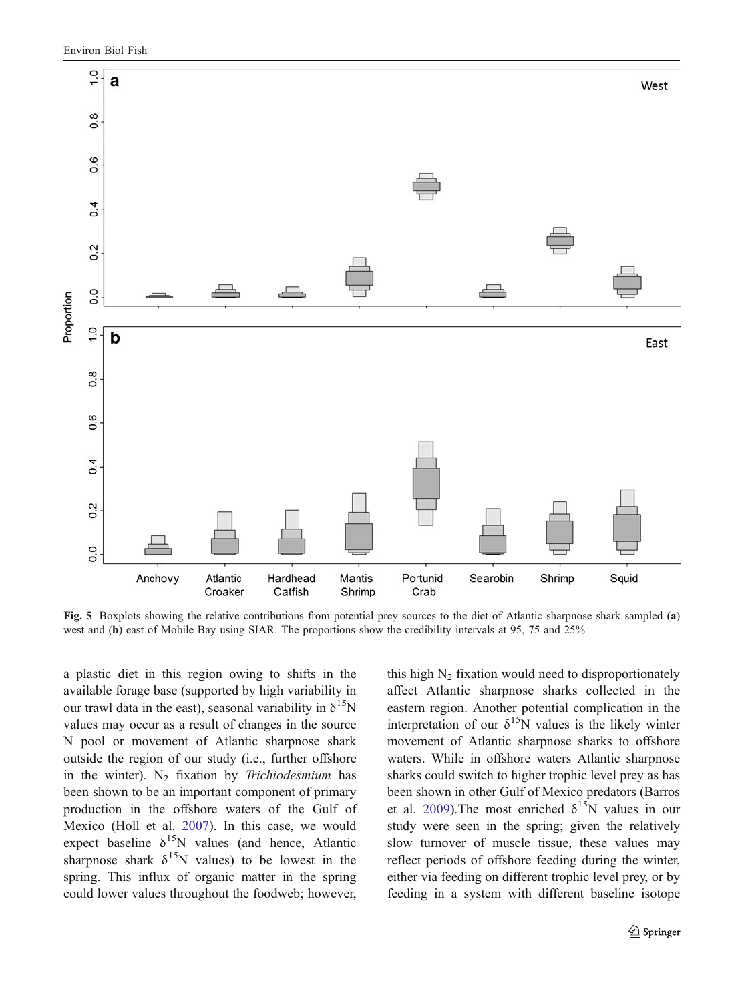<span id="page-10-0"></span>

Fig. 5 Boxplots showing the relative contributions from potential prey sources to the diet of Atlantic sharpnose shark sampled (a) west and (b) east of Mobile Bay using SIAR. The proportions show the credibility intervals at 95, 75 and 25%

a plastic diet in this region owing to shifts in the available forage base (supported by high variability in our trawl data in the east), seasonal variability in  $\delta^{15}N$ values may occur as a result of changes in the source N pool or movement of Atlantic sharpnose shark outside the region of our study (i.e., further offshore in the winter). N<sub>2</sub> fixation by *Trichiodesmium* has been shown to be an important component of primary production in the offshore waters of the Gulf of Mexico (Holl et al. [2007\)](#page-13-0). In this case, we would expect baseline  $\delta^{15}$ N values (and hence, Atlantic sharpnose shark  $\delta^{15}$ N values) to be lowest in the spring. This influx of organic matter in the spring could lower values throughout the foodweb; however,

this high  $N_2$  fixation would need to disproportionately affect Atlantic sharpnose sharks collected in the eastern region. Another potential complication in the interpretation of our  $\delta^{15}N$  values is the likely winter movement of Atlantic sharpnose sharks to offshore waters. While in offshore waters Atlantic sharpnose sharks could switch to higher trophic level prey as has been shown in other Gulf of Mexico predators (Barros et al. [2009](#page-13-0)). The most enriched  $\delta^{15}$ N values in our study were seen in the spring; given the relatively slow turnover of muscle tissue, these values may reflect periods of offshore feeding during the winter, either via feeding on different trophic level prey, or by feeding in a system with different baseline isotope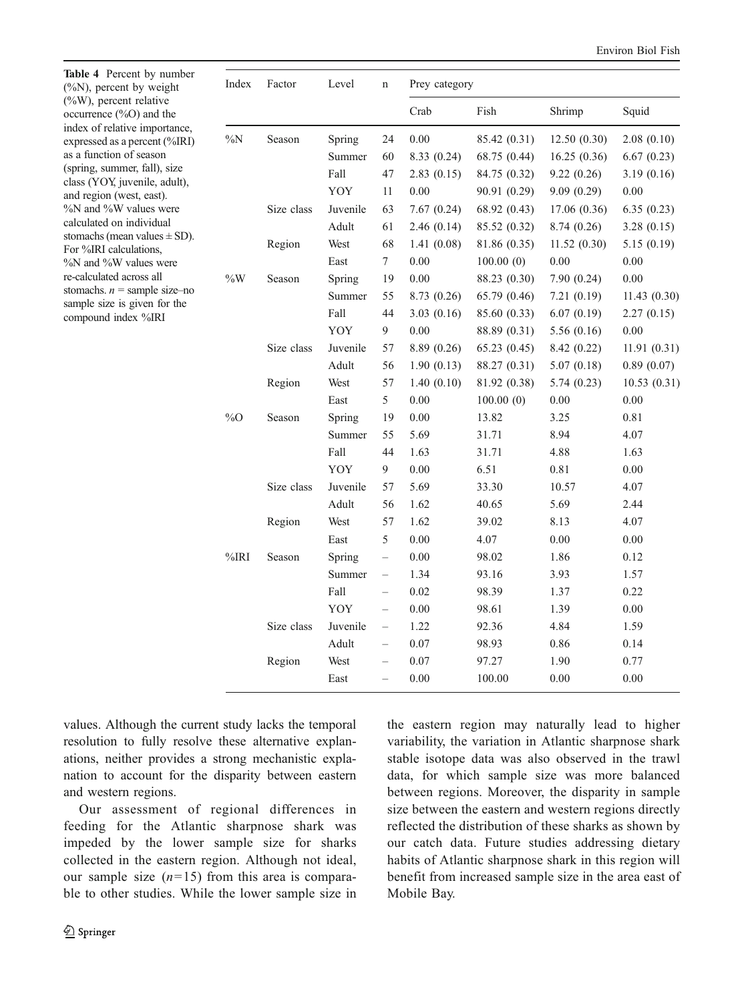<span id="page-11-0"></span>

| Table 4 Percent by number<br>$(\%N)$ , percent by weight       | Index                                                                                                                                                                                                                                                                                     | Factor                         | Level    | $\mathbf n$       | Prey category |              |             |             |
|----------------------------------------------------------------|-------------------------------------------------------------------------------------------------------------------------------------------------------------------------------------------------------------------------------------------------------------------------------------------|--------------------------------|----------|-------------------|---------------|--------------|-------------|-------------|
| (%W), percent relative<br>occurrence (%O) and the              |                                                                                                                                                                                                                                                                                           |                                |          |                   | Crab          | Fish         | Shrimp      | Squid       |
| index of relative importance,<br>expressed as a percent (%IRI) | $\%N$                                                                                                                                                                                                                                                                                     | Season                         | Spring   | 24                | $0.00\,$      | 85.42 (0.31) | 12.50(0.30) | 2.08(0.10)  |
| as a function of season                                        |                                                                                                                                                                                                                                                                                           |                                | Summer   | 60                | 8.33(0.24)    | 68.75 (0.44) | 16.25(0.36) | 6.67(0.23)  |
| (spring, summer, fall), size                                   |                                                                                                                                                                                                                                                                                           |                                | Fall     | 47                | 2.83(0.15)    | 84.75 (0.32) | 9.22(0.26)  | 3.19(0.16)  |
| class (YOY, juvenile, adult),<br>and region (west, east).      |                                                                                                                                                                                                                                                                                           |                                | YOY      | 11                | 0.00          | 90.91 (0.29) | 9.09(0.29)  | 0.00        |
| %N and %W values were                                          |                                                                                                                                                                                                                                                                                           | Size class                     | Juvenile | 63                | 7.67(0.24)    | 68.92 (0.43) | 17.06(0.36) | 6.35(0.23)  |
| calculated on individual                                       |                                                                                                                                                                                                                                                                                           |                                | Adult    | 61                | 2.46(0.14)    | 85.52 (0.32) | 8.74(0.26)  | 3.28(0.15)  |
| stomachs (mean values $\pm$ SD).<br>For %IRI calculations,     |                                                                                                                                                                                                                                                                                           | Region                         | West     | 68                | 1.41(0.08)    | 81.86 (0.35) | 11.52(0.30) | 5.15(0.19)  |
| %N and %W values were                                          |                                                                                                                                                                                                                                                                                           |                                | East     | 7                 | 0.00          | 100.00(0)    | 0.00        | 0.00        |
| re-calculated across all                                       | $\%W$                                                                                                                                                                                                                                                                                     | Season                         | Spring   | 19                | 0.00          | 88.23 (0.30) | 7.90(0.24)  | 0.00        |
| stomachs. $n =$ sample size-no<br>sample size is given for the |                                                                                                                                                                                                                                                                                           |                                | Summer   | 55                | 8.73 (0.26)   | 65.79 (0.46) | 7.21(0.19)  | 11.43(0.30) |
| compound index %IRI                                            |                                                                                                                                                                                                                                                                                           |                                | Fall     | 44                | 3.03(0.16)    | 85.60 (0.33) | 6.07(0.19)  | 2.27(0.15)  |
|                                                                |                                                                                                                                                                                                                                                                                           |                                | YOY      | 9                 | 0.00          | 88.89 (0.31) | 5.56 (0.16) | 0.00        |
|                                                                |                                                                                                                                                                                                                                                                                           | Size class                     | Juvenile | 57                | 8.89 (0.26)   | 65.23(0.45)  | 8.42(0.22)  | 11.91(0.31) |
|                                                                |                                                                                                                                                                                                                                                                                           |                                | Adult    | 56                | 1.90(0.13)    | 88.27 (0.31) | 5.07(0.18)  | 0.89(0.07)  |
|                                                                |                                                                                                                                                                                                                                                                                           | Region                         | West     | 57                | 1.40(0.10)    | 81.92 (0.38) | 5.74(0.23)  | 10.53(0.31) |
|                                                                |                                                                                                                                                                                                                                                                                           |                                | East     | 5                 | 0.00          | 100.00(0)    | 0.00        | 0.00        |
|                                                                | $\%$ O                                                                                                                                                                                                                                                                                    | Season                         | Spring   | 19                | 0.00          | 13.82        | 3.25        | 0.81        |
|                                                                |                                                                                                                                                                                                                                                                                           |                                | Summer   | 55                | 5.69          | 31.71        | 8.94        | 4.07        |
|                                                                |                                                                                                                                                                                                                                                                                           |                                | Fall     | 44                | 1.63          | 31.71        | 4.88        | 1.63        |
|                                                                |                                                                                                                                                                                                                                                                                           |                                | YOY      | 9                 | $0.00\,$      | 6.51         | 0.81        | 0.00        |
|                                                                |                                                                                                                                                                                                                                                                                           | Size class<br>Region<br>Season | Juvenile | 57                | 5.69          | 33.30        | 10.57       | 4.07        |
|                                                                |                                                                                                                                                                                                                                                                                           |                                | Adult    | 56                | 1.62          | 40.65        | 5.69        | 2.44        |
|                                                                |                                                                                                                                                                                                                                                                                           |                                | West     | 57                | 1.62          | 39.02        | 8.13        | 4.07        |
|                                                                |                                                                                                                                                                                                                                                                                           |                                | East     | $\sqrt{5}$        | $0.00\,$      | 4.07         | 0.00        | $0.00\,$    |
|                                                                | $\%IRI$                                                                                                                                                                                                                                                                                   |                                | Spring   | $\qquad \qquad -$ | $0.00\,$      | 98.02        | 1.86        | 0.12        |
|                                                                | Summer<br>1.34<br>$\qquad \qquad -$<br>Fall<br>0.02<br>$\qquad \qquad -$<br>YOY<br>0.00<br>$\overline{\phantom{m}}$<br>Size class<br>Juvenile<br>1.22<br>$\overline{\phantom{m}}$<br>Adult<br>0.07<br>$\qquad \qquad -$<br>0.07<br>Region<br>West<br>$\equiv$<br>East<br>0.00<br>$\equiv$ | 93.16                          | 3.93     | 1.57              |               |              |             |             |
|                                                                |                                                                                                                                                                                                                                                                                           |                                |          |                   |               | 98.39        | 1.37        | 0.22        |
|                                                                |                                                                                                                                                                                                                                                                                           |                                |          |                   |               | 98.61        | 1.39        | 0.00        |
|                                                                |                                                                                                                                                                                                                                                                                           |                                |          |                   |               | 92.36        | 4.84        | 1.59        |
|                                                                |                                                                                                                                                                                                                                                                                           |                                |          |                   |               | 98.93        | 0.86        | 0.14        |
|                                                                |                                                                                                                                                                                                                                                                                           |                                |          |                   |               | 97.27        | 1.90        | 0.77        |
|                                                                |                                                                                                                                                                                                                                                                                           |                                |          |                   |               | 100.00       | 0.00        | 0.00        |

values. Although the current study lacks the temporal resolution to fully resolve these alternative explanations, neither provides a strong mechanistic explanation to account for the disparity between eastern and western regions.

Our assessment of regional differences in feeding for the Atlantic sharpnose shark was impeded by the lower sample size for sharks collected in the eastern region. Although not ideal, our sample size  $(n=15)$  from this area is comparable to other studies. While the lower sample size in the eastern region may naturally lead to higher variability, the variation in Atlantic sharpnose shark stable isotope data was also observed in the trawl data, for which sample size was more balanced between regions. Moreover, the disparity in sample size between the eastern and western regions directly reflected the distribution of these sharks as shown by our catch data. Future studies addressing dietary habits of Atlantic sharpnose shark in this region will benefit from increased sample size in the area east of Mobile Bay.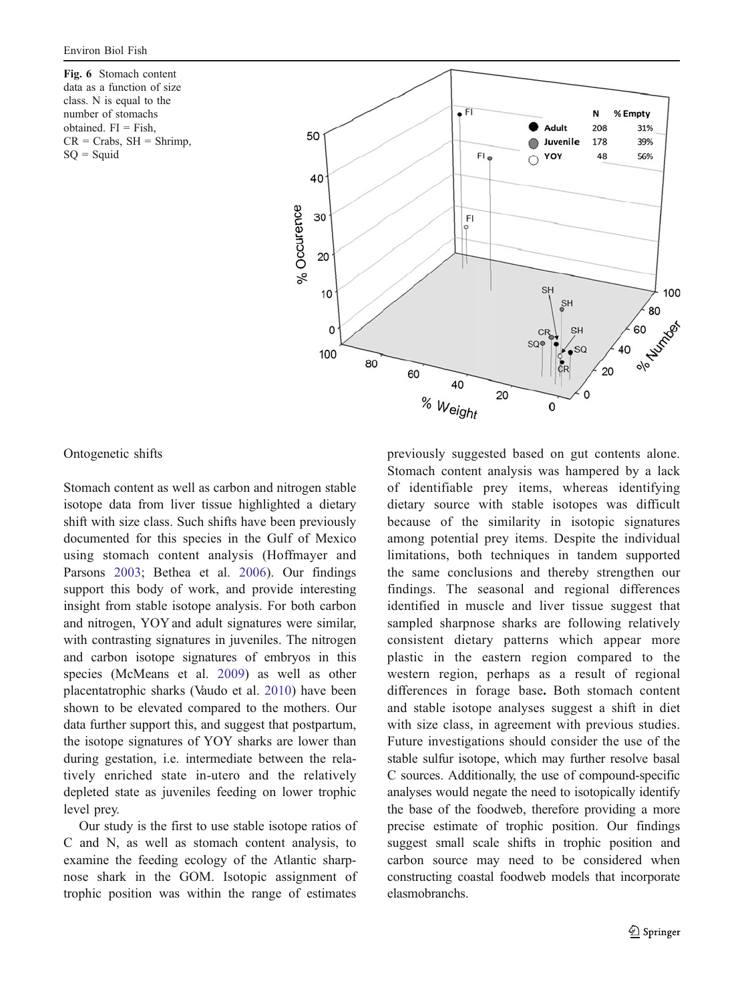<span id="page-12-0"></span>Fig. 6 Stomach content data as a function of size class. N is equal to the number of stomachs obtained.  $FI = Fish$ ,  $CR = Crabs$ ,  $SH = Shrimp$ ,  $SQ = Squid$ 



Ontogenetic shifts

Stomach content as well as carbon and nitrogen stable isotope data from liver tissue highlighted a dietary shift with size class. Such shifts have been previously documented for this species in the Gulf of Mexico using stomach content analysis (Hoffmayer and Parsons [2003;](#page-13-0) Bethea et al. [2006\)](#page-13-0). Our findings support this body of work, and provide interesting insight from stable isotope analysis. For both carbon and nitrogen, YOY and adult signatures were similar, with contrasting signatures in juveniles. The nitrogen and carbon isotope signatures of embryos in this species (McMeans et al. [2009](#page-14-0)) as well as other placentatrophic sharks (Vaudo et al. [2010\)](#page-14-0) have been shown to be elevated compared to the mothers. Our data further support this, and suggest that postpartum, the isotope signatures of YOY sharks are lower than during gestation, i.e. intermediate between the relatively enriched state in-utero and the relatively depleted state as juveniles feeding on lower trophic level prey.

Our study is the first to use stable isotope ratios of C and N, as well as stomach content analysis, to examine the feeding ecology of the Atlantic sharpnose shark in the GOM. Isotopic assignment of trophic position was within the range of estimates

previously suggested based on gut contents alone. Stomach content analysis was hampered by a lack of identifiable prey items, whereas identifying dietary source with stable isotopes was difficult because of the similarity in isotopic signatures among potential prey items. Despite the individual limitations, both techniques in tandem supported the same conclusions and thereby strengthen our findings. The seasonal and regional differences identified in muscle and liver tissue suggest that sampled sharpnose sharks are following relatively consistent dietary patterns which appear more plastic in the eastern region compared to the western region, perhaps as a result of regional differences in forage base. Both stomach content and stable isotope analyses suggest a shift in diet with size class, in agreement with previous studies. Future investigations should consider the use of the stable sulfur isotope, which may further resolve basal C sources. Additionally, the use of compound-specific analyses would negate the need to isotopically identify the base of the foodweb, therefore providing a more precise estimate of trophic position. Our findings suggest small scale shifts in trophic position and carbon source may need to be considered when constructing coastal foodweb models that incorporate elasmobranchs.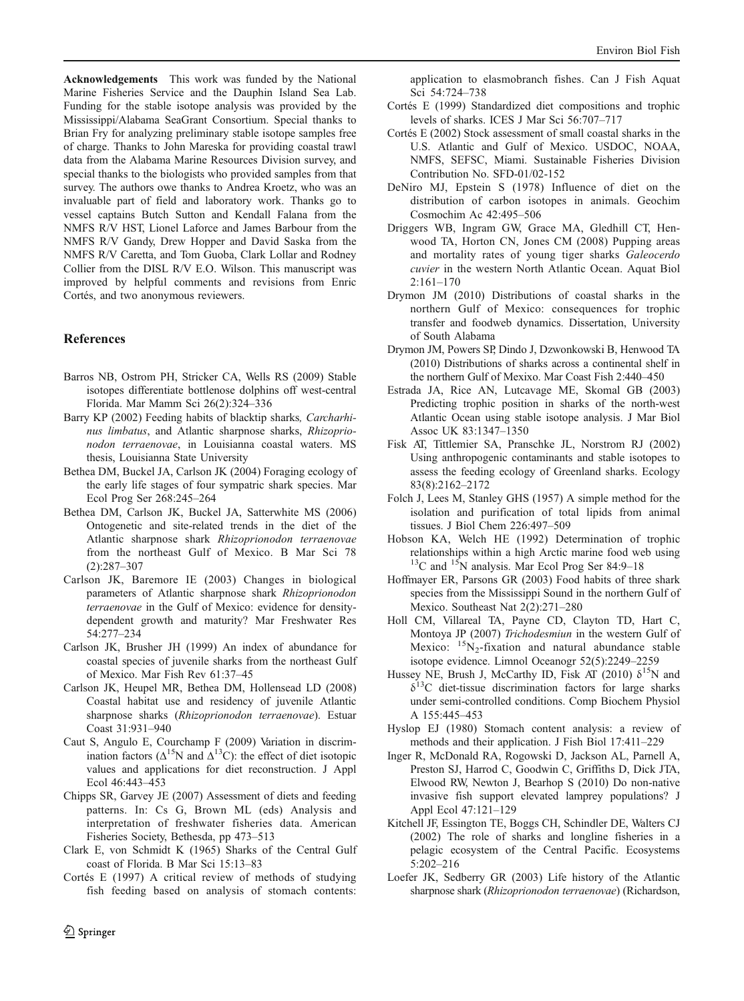<span id="page-13-0"></span>Acknowledgements This work was funded by the National Marine Fisheries Service and the Dauphin Island Sea Lab. Funding for the stable isotope analysis was provided by the Mississippi/Alabama SeaGrant Consortium. Special thanks to Brian Fry for analyzing preliminary stable isotope samples free of charge. Thanks to John Mareska for providing coastal trawl data from the Alabama Marine Resources Division survey, and special thanks to the biologists who provided samples from that survey. The authors owe thanks to Andrea Kroetz, who was an invaluable part of field and laboratory work. Thanks go to vessel captains Butch Sutton and Kendall Falana from the NMFS R/V HST, Lionel Laforce and James Barbour from the NMFS R/V Gandy, Drew Hopper and David Saska from the NMFS R/V Caretta, and Tom Guoba, Clark Lollar and Rodney Collier from the DISL R/V E.O. Wilson. This manuscript was improved by helpful comments and revisions from Enric Cortés, and two anonymous reviewers.

#### References

- Barros NB, Ostrom PH, Stricker CA, Wells RS (2009) Stable isotopes differentiate bottlenose dolphins off west-central Florida. Mar Mamm Sci 26(2):324–336
- Barry KP (2002) Feeding habits of blacktip sharks, Carcharhinus limbatus, and Atlantic sharpnose sharks, Rhizoprionodon terraenovae, in Louisianna coastal waters. MS thesis, Louisianna State University
- Bethea DM, Buckel JA, Carlson JK (2004) Foraging ecology of the early life stages of four sympatric shark species. Mar Ecol Prog Ser 268:245–264
- Bethea DM, Carlson JK, Buckel JA, Satterwhite MS (2006) Ontogenetic and site-related trends in the diet of the Atlantic sharpnose shark Rhizoprionodon terraenovae from the northeast Gulf of Mexico. B Mar Sci 78 (2):287–307
- Carlson JK, Baremore IE (2003) Changes in biological parameters of Atlantic sharpnose shark Rhizoprionodon terraenovae in the Gulf of Mexico: evidence for densitydependent growth and maturity? Mar Freshwater Res 54:277–234
- Carlson JK, Brusher JH (1999) An index of abundance for coastal species of juvenile sharks from the northeast Gulf of Mexico. Mar Fish Rev 61:37–45
- Carlson JK, Heupel MR, Bethea DM, Hollensead LD (2008) Coastal habitat use and residency of juvenile Atlantic sharpnose sharks (Rhizoprionodon terraenovae). Estuar Coast 31:931–940
- Caut S, Angulo E, Courchamp F (2009) Variation in discrimination factors ( $\Delta^{15}N$  and  $\Delta^{13}C$ ): the effect of diet isotopic values and applications for diet reconstruction. J Appl Ecol 46:443–453
- Chipps SR, Garvey JE (2007) Assessment of diets and feeding patterns. In: Cs G, Brown ML (eds) Analysis and interpretation of freshwater fisheries data. American Fisheries Society, Bethesda, pp 473–513
- Clark E, von Schmidt K (1965) Sharks of the Central Gulf coast of Florida. B Mar Sci 15:13–83
- Cortés E (1997) A critical review of methods of studying fish feeding based on analysis of stomach contents:

application to elasmobranch fishes. Can J Fish Aquat Sci 54:724–738

- Cortés E (1999) Standardized diet compositions and trophic levels of sharks. ICES J Mar Sci 56:707–717
- Cortés E (2002) Stock assessment of small coastal sharks in the U.S. Atlantic and Gulf of Mexico. USDOC, NOAA, NMFS, SEFSC, Miami. Sustainable Fisheries Division Contribution No. SFD-01/02-152
- DeNiro MJ, Epstein S (1978) Influence of diet on the distribution of carbon isotopes in animals. Geochim Cosmochim Ac 42:495–506
- Driggers WB, Ingram GW, Grace MA, Gledhill CT, Henwood TA, Horton CN, Jones CM (2008) Pupping areas and mortality rates of young tiger sharks Galeocerdo cuvier in the western North Atlantic Ocean. Aquat Biol 2:161–170
- Drymon JM (2010) Distributions of coastal sharks in the northern Gulf of Mexico: consequences for trophic transfer and foodweb dynamics. Dissertation, University of South Alabama
- Drymon JM, Powers SP, Dindo J, Dzwonkowski B, Henwood TA (2010) Distributions of sharks across a continental shelf in the northern Gulf of Mexixo. Mar Coast Fish 2:440–450
- Estrada JA, Rice AN, Lutcavage ME, Skomal GB (2003) Predicting trophic position in sharks of the north-west Atlantic Ocean using stable isotope analysis. J Mar Biol Assoc UK 83:1347–1350
- Fisk AT, Tittlemier SA, Pranschke JL, Norstrom RJ (2002) Using anthropogenic contaminants and stable isotopes to assess the feeding ecology of Greenland sharks. Ecology 83(8):2162–2172
- Folch J, Lees M, Stanley GHS (1957) A simple method for the isolation and purification of total lipids from animal tissues. J Biol Chem 226:497–509
- Hobson KA, Welch HE (1992) Determination of trophic relationships within a high Arctic marine food web using  $13^{\circ}$ C and  $15^{\circ}$ N analysis. Mar Ecol Prog Ser 84:9–18
- Hoffmayer ER, Parsons GR (2003) Food habits of three shark species from the Mississippi Sound in the northern Gulf of Mexico. Southeast Nat 2(2):271–280
- Holl CM, Villareal TA, Payne CD, Clayton TD, Hart C, Montoya JP (2007) Trichodesmiun in the western Gulf of Mexico:  ${}^{15}N_2$ -fixation and natural abundance stable isotope evidence. Limnol Oceanogr 52(5):2249–2259
- Hussey NE, Brush J, McCarthy ID, Fisk AT (2010)  $\delta^{15}N$  and  $\delta^{13}$ C diet-tissue discrimination factors for large sharks under semi-controlled conditions. Comp Biochem Physiol A 155:445–453
- Hyslop EJ (1980) Stomach content analysis: a review of methods and their application. J Fish Biol 17:411–229
- Inger R, McDonald RA, Rogowski D, Jackson AL, Parnell A, Preston SJ, Harrod C, Goodwin C, Griffiths D, Dick JTA, Elwood RW, Newton J, Bearhop S (2010) Do non-native invasive fish support elevated lamprey populations? J Appl Ecol 47:121–129
- Kitchell JF, Essington TE, Boggs CH, Schindler DE, Walters CJ (2002) The role of sharks and longline fisheries in a pelagic ecosystem of the Central Pacific. Ecosystems 5:202–216
- Loefer JK, Sedberry GR (2003) Life history of the Atlantic sharpnose shark (Rhizoprionodon terraenovae) (Richardson,